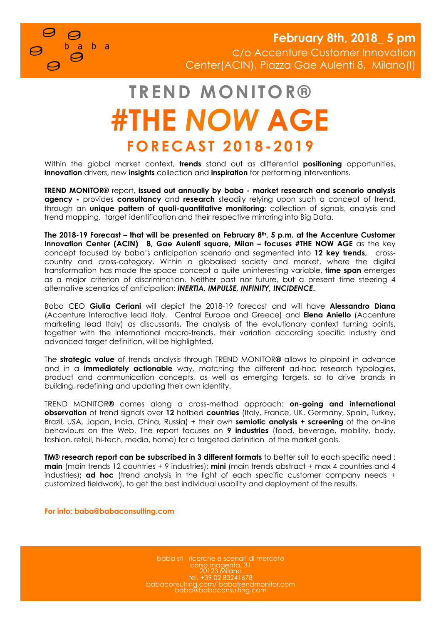

## **TREND MONITOR® #THE** *NOW* **AGE FORECAST 2018-2019**

Within the global market context, **trends** stand out as differential **positioning** opportunities, **innovation** drivers, new **insights** collection and **inspiration** for performing interventions.

**TREND MONITOR®** report, **issued out annually by baba - market research and scenario analysis agency -** provides **consultancy** and **research** steadily relying upon such a concept of trend, through an **unique pattern of quali-quantitative monitoring**: collection of signals, analysis and trend mapping, target identification and their respective mirroring into Big Data.

**The 2018-19 Forecast – that will be presented on February 8th, 5 p.m. at the Accenture Customer Innovation Center (ACIN) 8, Gae Aulenti square, Milan – focuses #THE NOW AGE** as the key concept focused by baba's anticipation scenario and segmented into **12 key trends,** crosscountry and cross-category. Within a globalised society and market, where the digital transformation has made the space concept a quite uninteresting variable, **time span** emerges as a major criterion of discrimination. Neither past nor future, but a present time steering 4 alternative scenarios of anticipation: *INERTIA, IMPULSE, INFINITY, INCIDENCE***.** 

Baba CEO **Giulia Ceriani** will depict the 2018-19 forecast and will have **Alessandro Diana**  (Accenture Interactive lead Italy, Central Europe and Greece) and **Elena Aniello** (Accenture marketing lead Italy) as discussants**.** The analysis of the evolutionary context turning points, together with the international macro-trends, their variation according specific industry and advanced target definition, will be highlighted.

The **strategic value** of trends analysis through TREND MONITOR**®** allows to pinpoint in advance and in a **immediately actionable** way, matching the different ad-hoc research typologies, product and communication concepts, as well as emerging targets, so to drive brands in building, redefining and updating their own identity.

TREND MONITOR**®** comes along a cross-method approach: **on-going and international observation** of trend signals over **12** hotbed **countries** (Italy, France, UK, Germany, Spain, Turkey, Brazil, USA, Japan, India, China, Russia) + their own **semiotic analysis + screening** of the on-line behaviours on the Web. The report focuses on **9 industries** (food, beverage, mobility, body, fashion, retail, hi-tech, media, home) for a targeted definition of the market goals.

**TM® research report can be subscribed in 3 different formats** to better suit to each specific need : **main** (main trends 12 countries + 9 industries); **mini** (main trends abstract + max 4 countries and 4 industries)**; ad hoc** (trend analysis in the light of each specific customer company needs + customized fieldwork), to get the best individual usability and deployment of the results.

**For info: baba@babaconsulting.com**

baba srl - ricerche e scenari di mercato corso magenta, 31 20123 Milano tel. +39 02 83241678 babaconsulting.com/ babatrendmonitor.com baba@babaconsulting.com